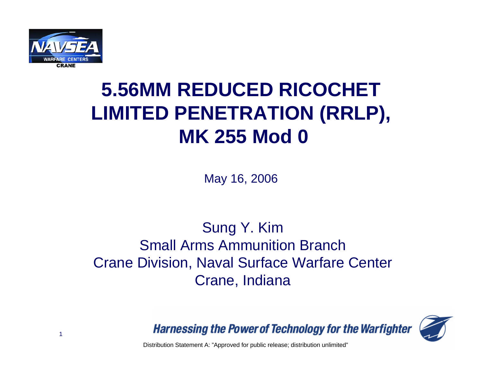

## **5.56MM REDUCED RICOCHET LIMITED PENETRATION (RRLP), MK 255 Mod 0**

May 16, 2006

#### Sung Y. Kim Small Arms Ammunition BranchCrane Division, Naval Surface Warfare Center Crane, Indiana



**Harnessing the Power of Technology for the Warfighter** 

Distribution Statement A: "Approved for public release; distribution unlimited"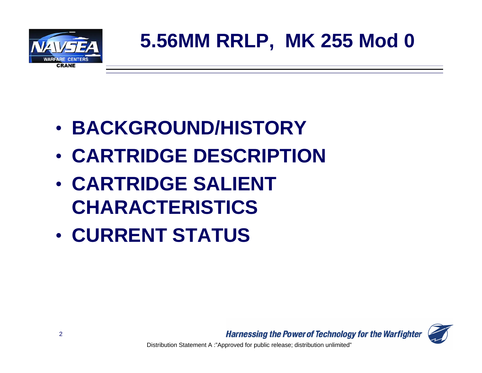

- **BACKGROUND/HISTORY**
- **CARTRIDGE DESCRIPTION**
- **CARTRIDGE SALIENT CHARACTERISTICS**
- **CURRENT STATUS**

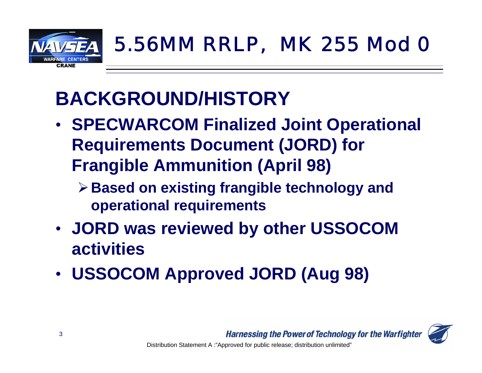

## **BACKGROUND/HISTORY**

- **SPECWARCOM Finalized Joint Operational Requirements Document (JORD) for Frangible Ammunition (April 98)**
	- ¾**Based on existing frangible technology and operational requirements**
- **JORD was reviewed by other USSOCOM activities**
- **USSOCOM Approved JORD (Aug 98)**

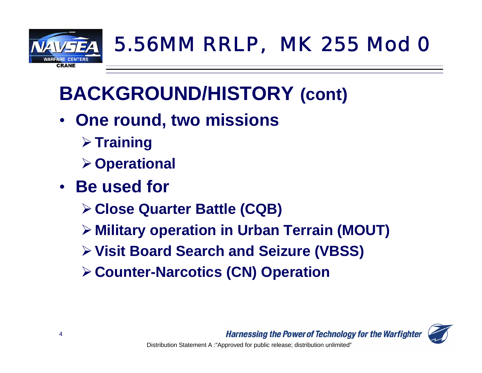

## **BACKGROUND/HISTORY (cont)**

- **One round, two missions**
	- ¾**Training**
	- ¾**Operational**
- **Be used for**
	- ¾**Close Quarter Battle (CQB)**
	- ¾ **Military operation in Urban Terrain (MOUT)**
	- ¾**Visit Board Search and Seizure (VBSS)**
	- ¾**Counter-Narcotics (CN) Operation**

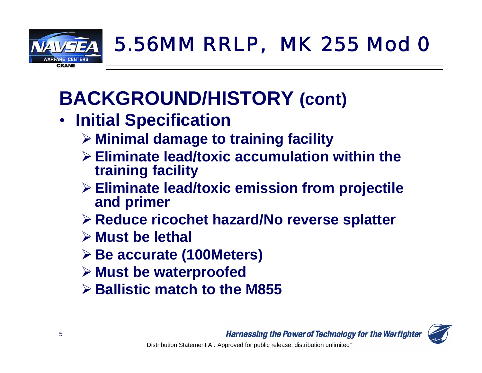

## **BACKGROUND/HISTORY (cont)**

- **Initial Specification**
	- ¾ **Minimal damage to training facility**
	- ¾**Eliminate lead/toxic accumulation within the training facility**
	- ¾**Eliminate lead/toxic emission from projectile and primer**
	- ¾**Reduce ricochet hazard/No reverse splatter**
	- ¾ **Must be lethal**
	- ¾**Be accurate (100Meters)**
	- ¾ **Must be waterproofed**
	- ¾**Ballistic match to the M855**

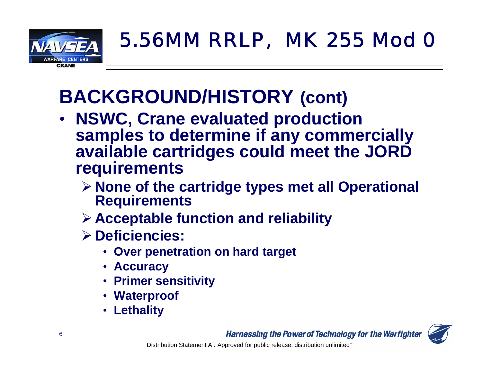

## **BACKGROUND/HISTORY (cont)**

- • **NSWC, Crane evaluated production samples to determine if any commercially available cartridges could meet the JORD requirements**
	- ¾**None of the cartridge types met all Operational Requirements**
	- ¾**Acceptable function and reliability**
	- ¾**Deficiencies:**
		- **Over penetration on hard target**
		- **Accuracy**
		- **Primer sensitivity**
		- **Waterproof**
		- **Lethality**

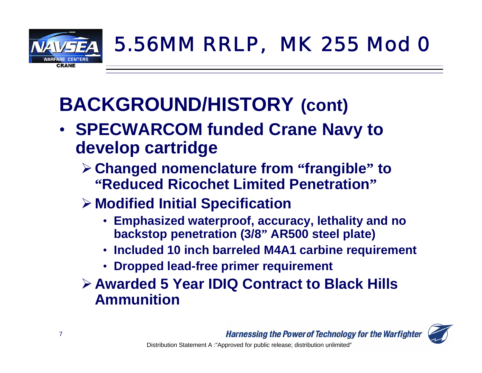

## **BACKGROUND/HISTORY (cont)**

- **SPECWARCOM funded Crane Navy to develop cartridge**
	- ¾**Changed nomenclature from "frangible" to "Reduced Ricochet Limited Penetration"**
	- ¾ **Modified Initial Specification**
		- **Emphasized waterproof, accuracy, lethality and no backstop penetration (3/8" AR500 steel plate)**
		- **Included 10 inch barreled M4A1 carbine requirement**
		- **Dropped lead-free primer requirement**
	- ¾**Awarded 5 Year IDIQ Contract to Black Hills Ammunition**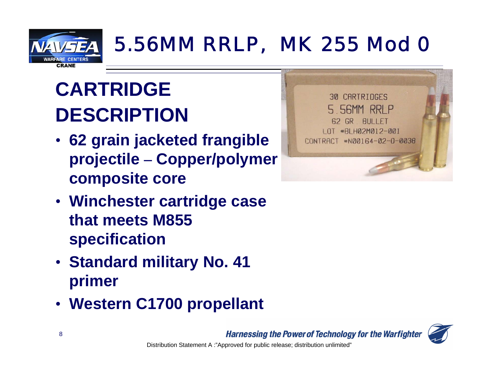

# **CARTRIDGEDESCRIPTION**

- **62 grain jacketed frangible projectile – Copper/polymer composite core**
- **Winchester cartridge case that meets M855 specification**
- **Standard military No. 41 primer**
- **Western C1700 propellant**



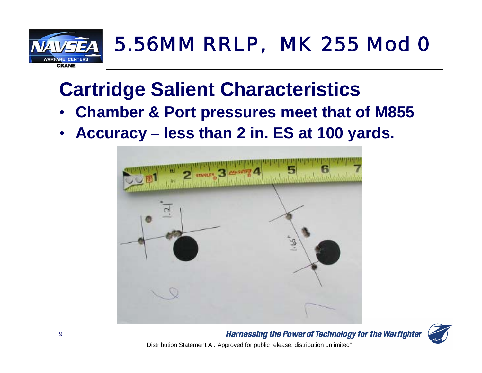

## **Cartridge Salient Characteristics**

- **Chamber & Port pressures meet that of M855**
- $\bullet$ **Accuracy – less than 2 in. ES at 100 yards.**





**Harnessing the Power of Technology for the Warfighter** Distribution Statement A :"Approved for public release; distribution unlimited"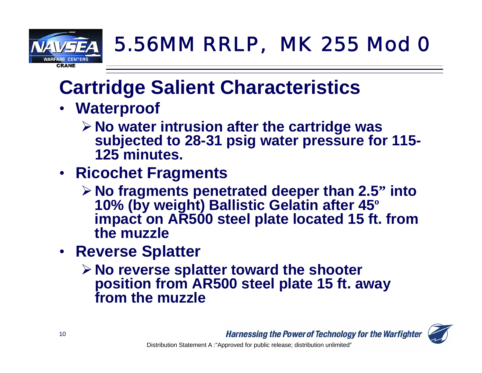

## **Cartridge Salient Characteristics**

- **Waterproof**
	- ¾**No water intrusion after the cartridge was subjected to 28-31 psig water pressure for 115- 125 minutes.**
- **Ricochet Fragments**
	- ¾**No fragments penetrated deeper than 2.5" into 10% (by weight) Ballistic Gelatin after 45<sup>º</sup> impact on AR500 steel plate located 15 ft. from the muzzle**
- **Reverse Splatter**
	- ¾**No reverse splatter toward the shooter position from AR500 steel plate 15 ft. away from the muzzle**

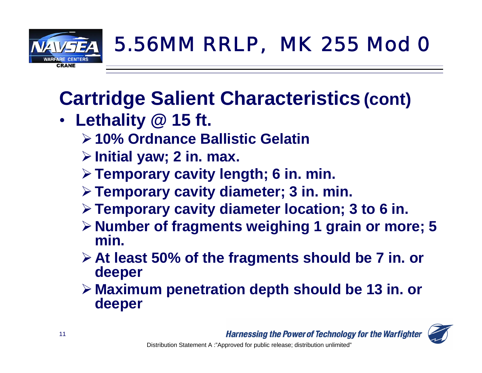

## **Cartridge Salient Characteristics (cont)**

- • **Lethality @ 15 ft.**
	- ¾**10% Ordnance Ballistic Gelatin**
	- ¾**Initial yaw; 2 in. max.**
	- ¾**Temporary cavity length; 6 in. min.**
	- ¾**Temporary cavity diameter; 3 in. min.**
	- ¾**Temporary cavity diameter location; 3 to 6 in.**
	- ¾**Number of fragments weighing 1 grain or more; 5 min.**
	- ¾**At least 50% of the fragments should be 7 in. or deeper**
	- ¾ **Maximum penetration depth should be 13 in. or deeper**

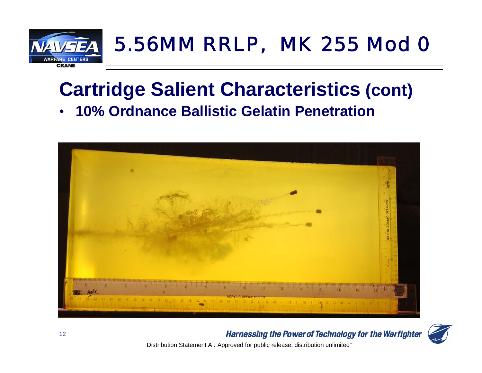

#### **Cartridge Salient Characteristics (cont)** •**10% Ordnance Ballistic Gelatin Penetration**





**Harnessing the Power of Technology for the Warfighter** 

Distribution Statement A :"Approved for public release; distribution unlimited"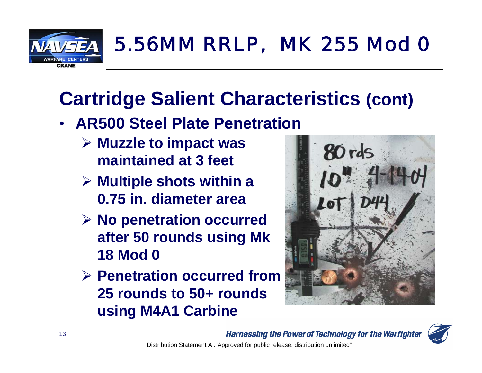

## **Cartridge Salient Characteristics (cont)**

- **AR500 Steel Plate Penetration**
	- ¾ **Muzzle to impact was maintained at 3 feet**
	- ¾ **Multiple shots within a 0.75 in. diameter area**
	- ¾ **No penetration occurred after 50 rounds using Mk 18 Mod 0**
	- ¾ **Penetration occurred from 25 rounds to 50+ rounds using M4A1 Carbine**